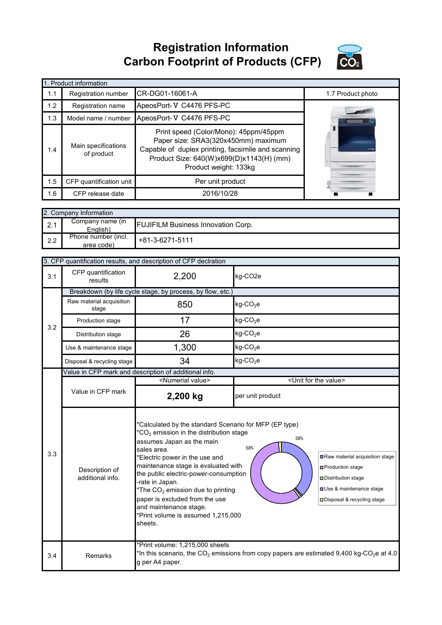**Registration Information Carbon Footprint of Products (CFP)**



|     | 1. Product information                                                                                                                                                                                                                       |                          |                   |  |  |  |  |  |
|-----|----------------------------------------------------------------------------------------------------------------------------------------------------------------------------------------------------------------------------------------------|--------------------------|-------------------|--|--|--|--|--|
| 1.1 | Registration number                                                                                                                                                                                                                          | ICR-DG01-16061-A         | 1.7 Product photo |  |  |  |  |  |
| 1.2 | Registration name                                                                                                                                                                                                                            | ApeosPort-V C4476 PFS-PC |                   |  |  |  |  |  |
| 1.3 | Model name / number                                                                                                                                                                                                                          | ApeosPort-V C4476 PFS-PC |                   |  |  |  |  |  |
| 1.4 | Print speed (Color/Mono): 45ppm/45ppm<br>Paper size: SRA3(320x450mm) maximum<br>Main specifications<br>Capable of duplex printing, facsimile and scanning<br>of product<br>Product Size: 640(W)x699(D)x1143(H) (mm)<br>Product weight: 133kg |                          |                   |  |  |  |  |  |
| 1.5 | CFP quantification unit                                                                                                                                                                                                                      | Per unit product         |                   |  |  |  |  |  |
| 1.6 | CFP release date                                                                                                                                                                                                                             | 2016/10/28               |                   |  |  |  |  |  |

| 2. Company Information |                                   |                                           |  |  |  |
|------------------------|-----------------------------------|-------------------------------------------|--|--|--|
| 2.1                    | Company name (in<br>English)      | <b>FUJIFILM Business Innovation Corp.</b> |  |  |  |
| 2.2                    | Phone number (incl.<br>area code) | +81-3-6271-5111                           |  |  |  |

|     | 3. CFP quantification results, and description of CFP declration |                                                                                                                                                                                                                                                                                                                                                                                                                                                                                                                                                                                                                              |                                                                                                                   |  |  |  |
|-----|------------------------------------------------------------------|------------------------------------------------------------------------------------------------------------------------------------------------------------------------------------------------------------------------------------------------------------------------------------------------------------------------------------------------------------------------------------------------------------------------------------------------------------------------------------------------------------------------------------------------------------------------------------------------------------------------------|-------------------------------------------------------------------------------------------------------------------|--|--|--|
| 3.1 | CFP quantification<br>results                                    | 2,200                                                                                                                                                                                                                                                                                                                                                                                                                                                                                                                                                                                                                        | kg-CO2e                                                                                                           |  |  |  |
|     | Breakdown (by life cycle stage, by process, by flow, etc.)       |                                                                                                                                                                                                                                                                                                                                                                                                                                                                                                                                                                                                                              |                                                                                                                   |  |  |  |
|     | Raw material acquisition<br>stage                                | 850                                                                                                                                                                                                                                                                                                                                                                                                                                                                                                                                                                                                                          | $kg$ -CO <sub>2</sub> e                                                                                           |  |  |  |
| 3.2 | Production stage                                                 | 17                                                                                                                                                                                                                                                                                                                                                                                                                                                                                                                                                                                                                           | $kg$ -CO <sub>2</sub> e                                                                                           |  |  |  |
|     | Distribution stage                                               | 26                                                                                                                                                                                                                                                                                                                                                                                                                                                                                                                                                                                                                           | $kg$ -CO <sub>2</sub> e                                                                                           |  |  |  |
|     | Use & maintenance stage                                          | 1,300                                                                                                                                                                                                                                                                                                                                                                                                                                                                                                                                                                                                                        | $kg$ -CO <sub>2</sub> e                                                                                           |  |  |  |
|     | Disposal & recycling stage                                       | 34                                                                                                                                                                                                                                                                                                                                                                                                                                                                                                                                                                                                                           | kg-CO <sub>2</sub> e                                                                                              |  |  |  |
|     |                                                                  | Value in CFP mark and description of additional info.                                                                                                                                                                                                                                                                                                                                                                                                                                                                                                                                                                        |                                                                                                                   |  |  |  |
|     |                                                                  | <numerial value=""></numerial>                                                                                                                                                                                                                                                                                                                                                                                                                                                                                                                                                                                               | <unit for="" the="" value=""></unit>                                                                              |  |  |  |
|     | Value in CFP mark                                                | 2,200 kg                                                                                                                                                                                                                                                                                                                                                                                                                                                                                                                                                                                                                     | per unit product                                                                                                  |  |  |  |
| 3.3 | Description of<br>additional info.                               | *Calculated by the standard Scenario for MFP (EP type)<br>$*CO2$ emission in the distribution stage<br>38%<br>assumes Japan as the main<br>58%<br>sales area.<br>Raw material acquisition stage<br>*Electric power in the use and<br>maintenance stage is evaluated with<br><b>□</b> Production stage<br>the public electric-power-consumption<br>Distribution stage<br>-rate in Japan.<br><b>OUse &amp; maintenance stage</b><br>*The CO <sub>2</sub> emission due to printing<br>paper is excluded from the use<br>□ Disposal & recycling stage<br>and maintenance stage.<br>*Print volume is assumed 1,215,000<br>sheets. |                                                                                                                   |  |  |  |
| 3.4 | Remarks                                                          | *Print volume: 1,215,000 sheets<br>g per A4 paper.                                                                                                                                                                                                                                                                                                                                                                                                                                                                                                                                                                           | *In this scenario, the CO <sub>2</sub> emissions from copy papers are estimated 9,400 kg-CO <sub>2</sub> e at 4.0 |  |  |  |